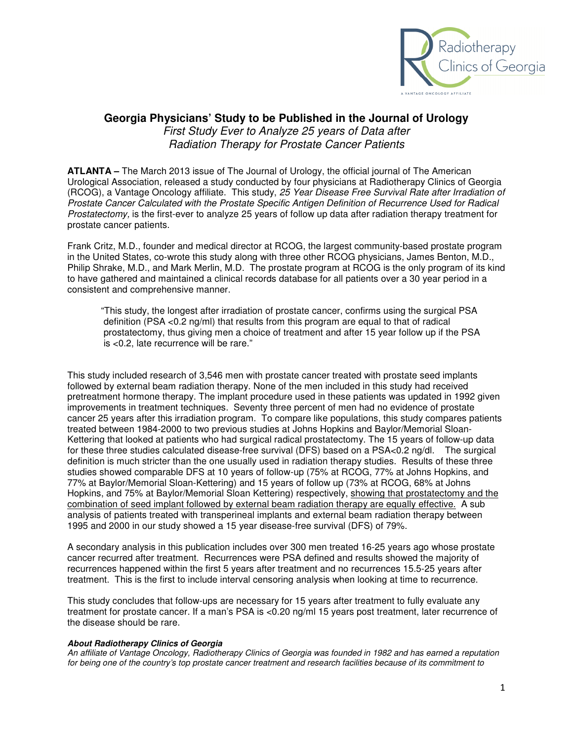

## **Georgia Physicians' Study to be Published in the Journal of Urology**

First Study Ever to Analyze 25 years of Data after Radiation Therapy for Prostate Cancer Patients

**ATLANTA –** The March 2013 issue of The Journal of Urology, the official journal of The American Urological Association, released a study conducted by four physicians at Radiotherapy Clinics of Georgia (RCOG), a Vantage Oncology affiliate. This study, 25 Year Disease Free Survival Rate after Irradiation of Prostate Cancer Calculated with the Prostate Specific Antigen Definition of Recurrence Used for Radical Prostatectomy, is the first-ever to analyze 25 years of follow up data after radiation therapy treatment for prostate cancer patients.

Frank Critz, M.D., founder and medical director at RCOG, the largest community-based prostate program in the United States, co-wrote this study along with three other RCOG physicians, James Benton, M.D., Philip Shrake, M.D., and Mark Merlin, M.D. The prostate program at RCOG is the only program of its kind to have gathered and maintained a clinical records database for all patients over a 30 year period in a consistent and comprehensive manner.

 "This study, the longest after irradiation of prostate cancer, confirms using the surgical PSA definition (PSA <0.2 ng/ml) that results from this program are equal to that of radical prostatectomy, thus giving men a choice of treatment and after 15 year follow up if the PSA is <0.2, late recurrence will be rare."

This study included research of 3,546 men with prostate cancer treated with prostate seed implants followed by external beam radiation therapy. None of the men included in this study had received pretreatment hormone therapy. The implant procedure used in these patients was updated in 1992 given improvements in treatment techniques. Seventy three percent of men had no evidence of prostate cancer 25 years after this irradiation program. To compare like populations, this study compares patients treated between 1984-2000 to two previous studies at Johns Hopkins and Baylor/Memorial Sloan-Kettering that looked at patients who had surgical radical prostatectomy. The 15 years of follow-up data for these three studies calculated disease-free survival (DFS) based on a PSA<0.2 ng/dl. The surgical definition is much stricter than the one usually used in radiation therapy studies. Results of these three studies showed comparable DFS at 10 years of follow-up (75% at RCOG, 77% at Johns Hopkins, and 77% at Baylor/Memorial Sloan-Kettering) and 15 years of follow up (73% at RCOG, 68% at Johns Hopkins, and 75% at Baylor/Memorial Sloan Kettering) respectively, showing that prostatectomy and the combination of seed implant followed by external beam radiation therapy are equally effective. A sub analysis of patients treated with transperineal implants and external beam radiation therapy between 1995 and 2000 in our study showed a 15 year disease-free survival (DFS) of 79%.

A secondary analysis in this publication includes over 300 men treated 16-25 years ago whose prostate cancer recurred after treatment. Recurrences were PSA defined and results showed the majority of recurrences happened within the first 5 years after treatment and no recurrences 15.5-25 years after treatment. This is the first to include interval censoring analysis when looking at time to recurrence.

This study concludes that follow-ups are necessary for 15 years after treatment to fully evaluate any treatment for prostate cancer. If a man's PSA is <0.20 ng/ml 15 years post treatment, later recurrence of the disease should be rare.

## **About Radiotherapy Clinics of Georgia**

An affiliate of Vantage Oncology, Radiotherapy Clinics of Georgia was founded in 1982 and has earned a reputation for being one of the country's top prostate cancer treatment and research facilities because of its commitment to